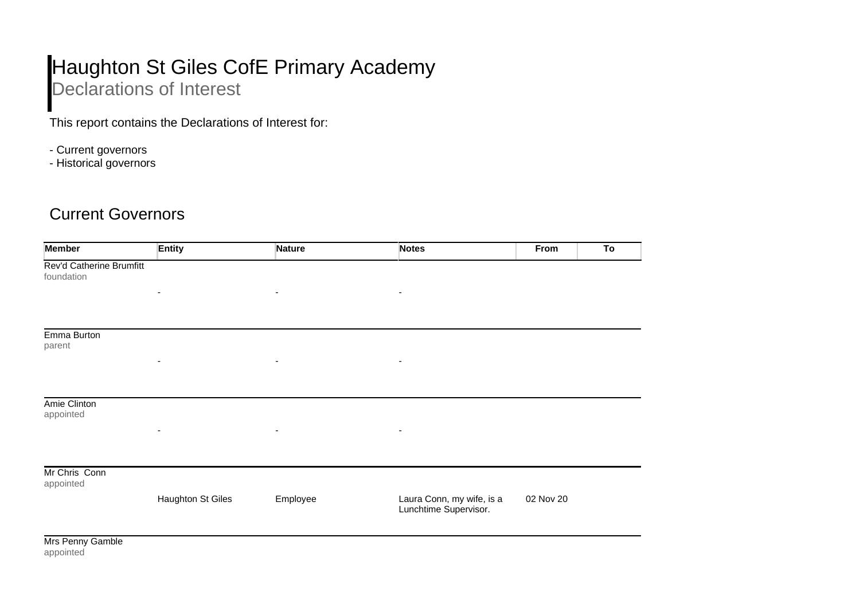## Haughton St Giles CofE Primary Academy Declarations of Interest

This report contains the Declarations of Interest for:

- Current governors
- Historical governors

## Current Governors

| <b>Member</b>                          | <b>Entity</b>            | <b>Nature</b>            | <b>Notes</b>                                       | From<br>To |
|----------------------------------------|--------------------------|--------------------------|----------------------------------------------------|------------|
| Rev'd Catherine Brumfitt<br>foundation |                          |                          |                                                    |            |
|                                        | ٠                        | ٠                        | ٠                                                  |            |
|                                        |                          |                          |                                                    |            |
| Emma Burton<br>parent                  |                          |                          |                                                    |            |
|                                        | ٠                        | $\overline{\phantom{a}}$ | ٠                                                  |            |
|                                        |                          |                          |                                                    |            |
| Amie Clinton<br>appointed              |                          |                          |                                                    |            |
|                                        | ٠                        | ٠                        | $\overline{\phantom{a}}$                           |            |
|                                        |                          |                          |                                                    |            |
| Mr Chris Conn<br>appointed             |                          |                          |                                                    |            |
|                                        | <b>Haughton St Giles</b> | Employee                 | Laura Conn, my wife, is a<br>Lunchtime Supervisor. | 02 Nov 20  |
| $M_{\text{max}}$ Denote OpenHall       |                          |                          |                                                    |            |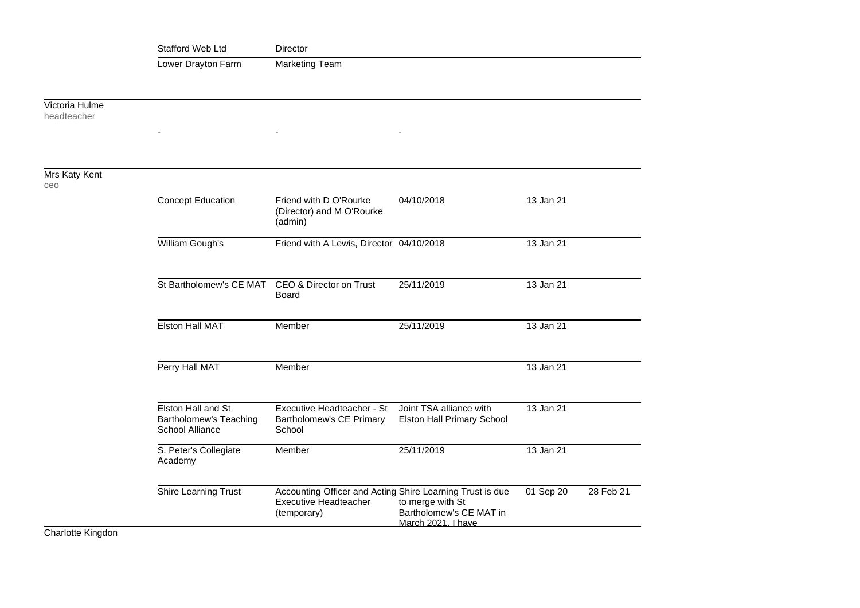|                               | Stafford Web Ltd                                                       | Director                                                                                          |                                                                   |           |           |  |
|-------------------------------|------------------------------------------------------------------------|---------------------------------------------------------------------------------------------------|-------------------------------------------------------------------|-----------|-----------|--|
|                               | Lower Drayton Farm                                                     | <b>Marketing Team</b>                                                                             |                                                                   |           |           |  |
|                               |                                                                        |                                                                                                   |                                                                   |           |           |  |
| Victoria Hulme<br>headteacher |                                                                        |                                                                                                   |                                                                   |           |           |  |
|                               |                                                                        |                                                                                                   |                                                                   |           |           |  |
|                               |                                                                        |                                                                                                   |                                                                   |           |           |  |
| Mrs Katy Kent<br>ceo          |                                                                        |                                                                                                   |                                                                   |           |           |  |
|                               | <b>Concept Education</b>                                               | Friend with D O'Rourke<br>(Director) and M O'Rourke<br>(admin)                                    | 04/10/2018                                                        | 13 Jan 21 |           |  |
|                               | William Gough's                                                        | Friend with A Lewis, Director 04/10/2018                                                          |                                                                   | 13 Jan 21 |           |  |
|                               | St Bartholomew's CE MAT                                                | CEO & Director on Trust<br>Board                                                                  | 25/11/2019                                                        | 13 Jan 21 |           |  |
|                               | <b>Elston Hall MAT</b>                                                 | Member                                                                                            | 25/11/2019                                                        | 13 Jan 21 |           |  |
|                               | Perry Hall MAT                                                         | Member                                                                                            |                                                                   | 13 Jan 21 |           |  |
|                               | Elston Hall and St<br>Bartholomew's Teaching<br><b>School Alliance</b> | Executive Headteacher - St<br>Bartholomew's CE Primary<br>School                                  | Joint TSA alliance with<br>Elston Hall Primary School             | 13 Jan 21 |           |  |
|                               | S. Peter's Collegiate<br>Academy                                       | Member                                                                                            | 25/11/2019                                                        | 13 Jan 21 |           |  |
|                               | Shire Learning Trust                                                   | Accounting Officer and Acting Shire Learning Trust is due<br>Executive Headteacher<br>(temporary) | to merge with St<br>Bartholomew's CE MAT in<br>March 2021. I have | 01 Sep 20 | 28 Feb 21 |  |

Charlotte Kingdon